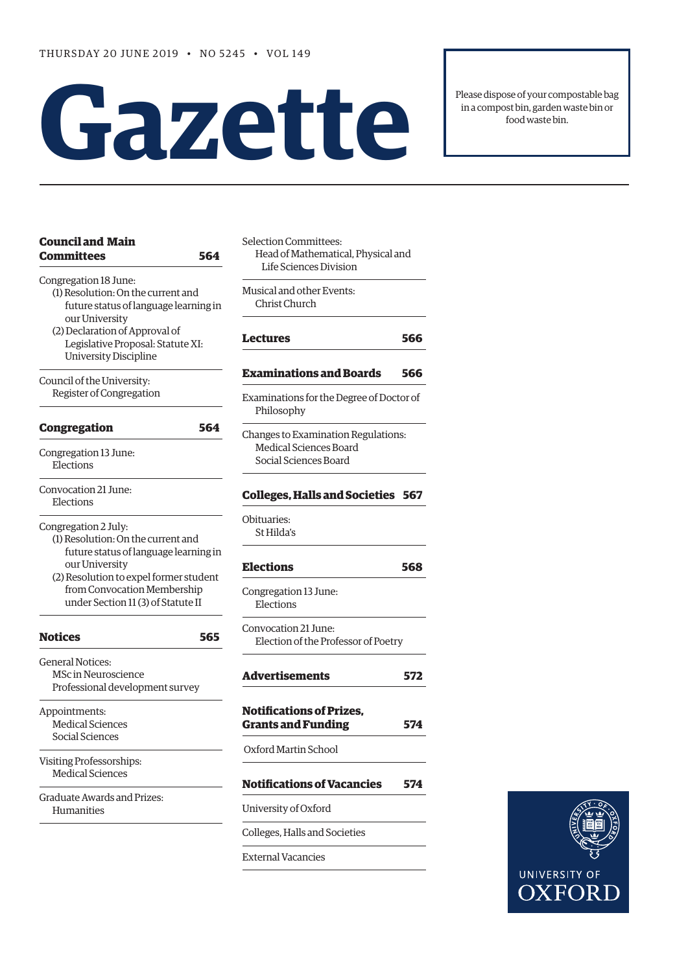# **Gazet te**

Please dispose of your compostable bag in a compost bin, garden waste bin or food waste bin.

| <b>Council and Main</b><br><b>Committees</b>                                                                                                                                                                                         | 564 | Selection Committees:<br>Head of Mathematical, Physical and<br>Life Sciences Division |     |
|--------------------------------------------------------------------------------------------------------------------------------------------------------------------------------------------------------------------------------------|-----|---------------------------------------------------------------------------------------|-----|
| Congregation 18 June:<br>(1) Resolution: On the current and<br>future status of language learning in<br>our University                                                                                                               |     | Musical and other Events:<br>Christ Church                                            |     |
| (2) Declaration of Approval of<br>Legislative Proposal: Statute XI:<br><b>University Discipline</b>                                                                                                                                  |     | <b>Lectures</b>                                                                       | 566 |
| Council of the University:                                                                                                                                                                                                           |     | <b>Examinations and Boards</b>                                                        | 566 |
| Register of Congregation                                                                                                                                                                                                             |     | Examinations for the Degree of Doctor of<br>Philosophy                                |     |
| <b>Congregation</b>                                                                                                                                                                                                                  | 564 | Changes to Examination Regulations:                                                   |     |
| Congregation 13 June:<br>Elections                                                                                                                                                                                                   |     | Medical Sciences Board<br>Social Sciences Board                                       |     |
| Convocation 21 June:<br>Elections                                                                                                                                                                                                    |     | <b>Colleges, Halls and Societies 567</b>                                              |     |
| Congregation 2 July:<br>(1) Resolution: On the current and<br>future status of language learning in<br>our University<br>(2) Resolution to expel former student<br>from Convocation Membership<br>under Section 11 (3) of Statute II |     | Obituaries:<br>St Hilda's                                                             |     |
|                                                                                                                                                                                                                                      |     | <b>Elections</b>                                                                      | 568 |
|                                                                                                                                                                                                                                      |     | Congregation 13 June:<br>Elections                                                    |     |
| <b>Notices</b>                                                                                                                                                                                                                       | 565 | Convocation 21 June:<br>Election of the Professor of Poetry                           |     |
| <b>General Notices:</b><br><b>MSc in Neuroscience</b><br>Professional development survey                                                                                                                                             |     | <b>Advertisements</b>                                                                 | 572 |
| Appointments:<br><b>Medical Sciences</b><br>Social Sciences                                                                                                                                                                          |     | <b>Notifications of Prizes,</b><br><b>Grants and Funding</b>                          | 574 |
|                                                                                                                                                                                                                                      |     | Oxford Martin School                                                                  |     |
| Visiting Professorships:<br><b>Medical Sciences</b>                                                                                                                                                                                  |     |                                                                                       |     |
|                                                                                                                                                                                                                                      |     | <b>Notifications of Vacancies</b>                                                     | 574 |
| Graduate Awards and Prizes:<br>Humanities                                                                                                                                                                                            |     | University of Oxford                                                                  |     |
|                                                                                                                                                                                                                                      |     | Colleges, Halls and Societies                                                         |     |
|                                                                                                                                                                                                                                      |     | <b>External Vacancies</b>                                                             |     |

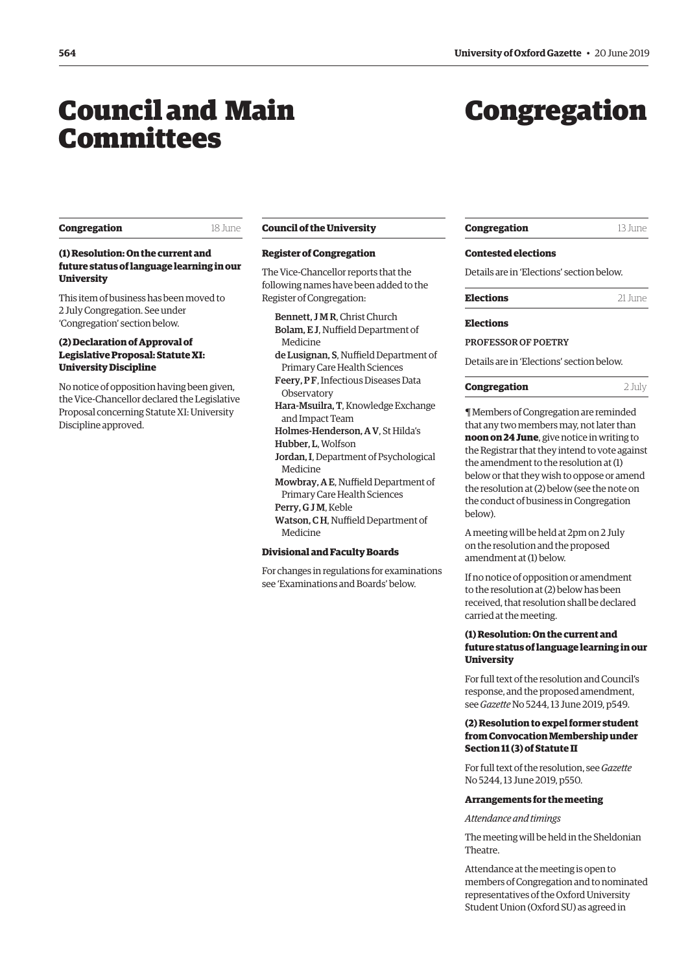## <span id="page-1-0"></span>Council and Main Committees

## Congregation

#### **Congregation** 18 June

#### **(1) Resolution: On the current and future status of language learning in our University**

This item of business has been moved to 2 July Congregation. See under 'Congregation' section below.

#### **(2) Declaration of Approval of Legislative Proposal: Statute XI: University Discipline**

No notice of opposition having been given, the Vice-Chancellor declared the Legislative Proposal concerning Statute XI: University Discipline approved.

#### **Council of the University**

#### **Register of Congregation**

The Vice-Chancellor reports that the following names have been added to the Register of Congregation:

- Bennett, J M R, Christ Church
- Bolam, E J, Nuffield Department of Medicine
- de Lusignan, S, Nuffield Department of
- Primary Care Health Sciences Feery, P F, Infectious Diseases Data **Observatory**
- Hara-Msuilra, T, Knowledge Exchange and Impact Team
- Holmes-Henderson, A V, St Hilda's
- Hubber, L, Wolfson
- Jordan, I, Department of Psychological Medicine
- Mowbray, A E, Nuffield Department of Primary Care Health Sciences
- Perry, G J M, Keble
- Watson, CH, Nuffield Department of Medicine

#### **Divisional and Faculty Boards**

For changes in regulations for examinations see ['Examinations and Boards'](#page-4-0) below.

| <b>Congregation</b> | 13 June |
|---------------------|---------|
|---------------------|---------|

#### **Contested elections**

Details are in ['Elections'](#page-5-0) section below.

#### **Elections**

PROFESSOR OF POETRY

Details are in '[Elections'](#page-5-0) section below.

#### **Congregation** 2 July

¶ Members of Congregation are reminded that any two members may, not later than **noon on 24 June**, give notice in writing to the Registrar that they intend to vote against the amendment to the resolution at (1) below or that they wish to oppose or amend the resolution at (2) below (see the note on the conduct of business in Congregation below).

A meeting will be held at 2pm on 2 July on the resolution and the proposed amendment at (1) below.

If no notice of opposition or amendment to the resolution at (2) below has been received, that resolution shall be declared carried at the meeting.

#### **(1) Resolution: On the current and future status of language learning in our University**

For full text of the resolution and Council's response, and the proposed amendment, see *Gazette* [No 5244, 13 June 2019, p549.](https://gazette.web.ox.ac.uk/files/13june2019-no5244redactedpdf#page=3)

#### **(2) Resolution to expel former student from Convocation Membership under Section 11 (3) of Statute II**

For full text of the resolution, see *[Gazette](https://gazette.web.ox.ac.uk/files/13june2019-no5244redactedpdf#page=4)*  [No 5244, 13 June 2019, p550](https://gazette.web.ox.ac.uk/files/13june2019-no5244redactedpdf#page=4).

#### **Arrangements for the meeting**

*Attendance and timings* 

The meeting will be held in the Sheldonian Theatre.

Attendance at the meeting is open to members of Congregation and to nominated representatives of the Oxford University Student Union (Oxford SU) as agreed in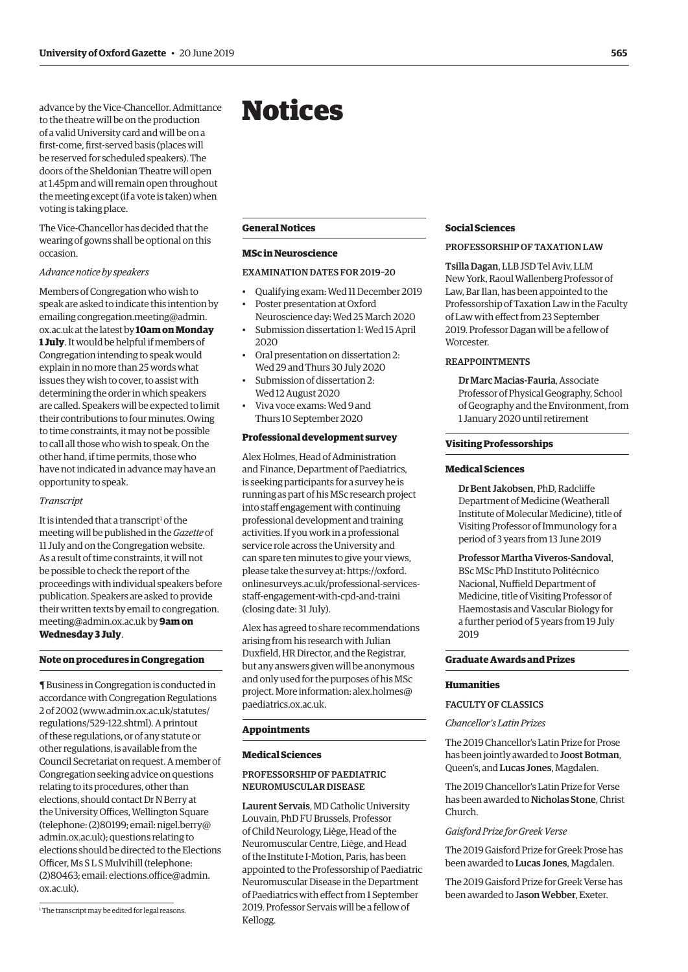<span id="page-2-0"></span>advance by the Vice-Chancellor. Admittance to the theatre will be on the production of a valid University card and will be on a frst-come, frst-served basis (places will be reserved for scheduled speakers). The doors of the Sheldonian Theatre will open at 1.45pm and will remain open throughout the meeting except (if a vote is taken) when voting is taking place.

The Vice-Chancellor has decided that the wearing of gowns shall be optional on this occasion.

#### *Advance notice by speakers*

Members of Congregation who wish to speak are asked to indicate this intention by emailin[g congregation.meeting@admin.](mailto:congregation.meeting@admin.ox.ac.uk) [ox.ac.uk a](mailto:congregation.meeting@admin.ox.ac.uk)t the latest by **10am on Monday 1 July**. It would be helpful if members of Congregation intending to speak would explain in no more than 25 words what issues they wish to cover, to assist with determining the order in which speakers are called. Speakers will be expected to limit their contributions to four minutes. Owing to time constraints, it may not be possible to call all those who wish to speak. On the other hand, if time permits, those who have not indicated in advance may have an opportunity to speak.

#### *Transcript*

It is intended that a transcript<sup>1</sup> of the meeting will be published in the *Gazette* of 11 July and on the Congregation website. As a result of time constraints, it will not be possible to check the report of the proceedings with individual speakers before publication. Speakers are asked to provide their written texts by email to [congregation.](mailto:congregation.meeting@admin.ox.ac.uk)  [meeting@admin.ox.ac.uk](mailto:congregation.meeting@admin.ox.ac.uk) by **9am on Wednesday 3 July**.

#### **Note on procedures in Congregation**

¶ Business in Congregation is conducted in accordance with Congregation Regulations 2 of 2002 (www.admin.ox.ac.uk/statutes/ regulations/529-122.shtml). A printout of these regulations, or of any statute or other regulations, is available from the Council Secretariat on request. A member of Congregation seeking advice on questions relating to its procedures, other than elections, should contact Dr N Berry at the University Offices, Wellington Square (telephone: (2)80199; email: [nigel.berry@](mailto:nigel.berry@admin.ox.ac.uk)  [admin.ox.ac.uk](mailto:nigel.berry@admin.ox.ac.uk)); questions relating to elections should be directed to the Elections Officer, Ms S L S Mulvihill (telephone:  $(2)80463$ ; email: elections.office@admin. [ox.ac.uk\)](mailto:elections.office@admin.ox.ac.uk).

## Notices

#### **General Notices**

#### **MSc in Neuroscience**

#### EXAMINATION DATES FOR 2019–20

- Qualifying exam: Wed 11 December 2019
- Poster presentation at Oxford Neuroscience day: Wed 25 March 2020
- Submission dissertation 1: Wed 15 April 2020
- Oral presentation on dissertation 2: Wed 29 and Thurs 30 July 2020
- Submission of dissertation 2: Wed 12 August 2020
- Viva voce exams: Wed 9 and Thurs 10 September 2020

#### **Professional development survey**

Alex Holmes, Head of Administration and Finance, Department of Paediatrics, is seeking participants for a survey he is running as part of his MSc research project into staff engagement with continuing professional development and training activities. If you work in a professional service role across the University and can spare ten minutes to give your views, please take the survey at: [https://oxford.](https://oxford.onlinesurveys.ac.uk/professional-services-staff-engagement-with-cpd-and-traini)  onlinesurveys.ac.uk/professional-servicesstaff-engagement-with-cpd-and-traini (closing date: 31 July).

Alex has agreed to share recommendations arising from his research with Julian Duxfeld, HR Director, and the Registrar, but any answers given will be anonymous and only used for the purposes of his MSc project. More information[: alex.holmes@](mailto:alex.holmes@paediatrics.ox.ac.uk)  [paediatrics.ox.ac.uk](mailto:alex.holmes@paediatrics.ox.ac.uk).

#### **Appointments**

#### **Medical Sciences**

#### PROFESSORSHIP OF PAEDIATRIC NEUROMUSCULAR DISEASE

Laurent Servais, MD Catholic University Louvain, PhD FU Brussels, Professor of Child Neurology, Liège, Head of the Neuromuscular Centre, Liège, and Head of the Institute I-Motion, Paris, has been appointed to the Professorship of Paediatric Neuromuscular Disease in the Department of Paediatrics with efect from 1 September 2019. Professor Servais will be a fellow of Kellogg.

#### **Social Sciences**

#### PROFESSORSHIP OF TAXATION LAW

Tsilla Dagan, LLB JSD Tel Aviv, LLM New York, Raoul Wallenberg Professor of Law, Bar Ilan, has been appointed to the Professorship of Taxation Law in the Faculty of Law with efect from 23 September 2019. Professor Dagan will be a fellow of Worcester.

#### REAPPOINTMENTS

Dr Marc Macias-Fauria, Associate Professor of Physical Geography, School of Geography and the Environment, from 1 January 2020 until retirement

#### **Visiting Professorships**

#### **Medical Sciences**

Dr Bent Jakobsen, PhD, Radclife Department of Medicine (Weatherall Institute of Molecular Medicine), title of Visiting Professor of Immunology for a period of 3 years from 13 June 2019

Professor Martha Viveros-Sandoval, BSc MSc PhD Instituto Politécnico Nacional, Nuffield Department of Medicine, title of Visiting Professor of Haemostasis and Vascular Biology for a further period of 5 years from 19 July 2019

#### **Graduate Awards and Prizes**

#### **Humanities**

### FACULTY OF CLASSICS

*Chancellor's Latin Prizes* 

The 2019 Chancellor's Latin Prize for Prose has been jointly awarded to Joost Botman, Queen's, and Lucas Jones, Magdalen.

The 2019 Chancellor's Latin Prize for Verse has been awarded to Nicholas Stone, Christ Church.

#### *Gaisford Prize for Greek Verse*

The 2019 Gaisford Prize for Greek Prose has been awarded to Lucas Jones, Magdalen.

The 2019 Gaisford Prize for Greek Verse has been awarded to Jason Webber, Exeter.

<sup>&</sup>lt;sup>1</sup> The transcript may be edited for legal reasons.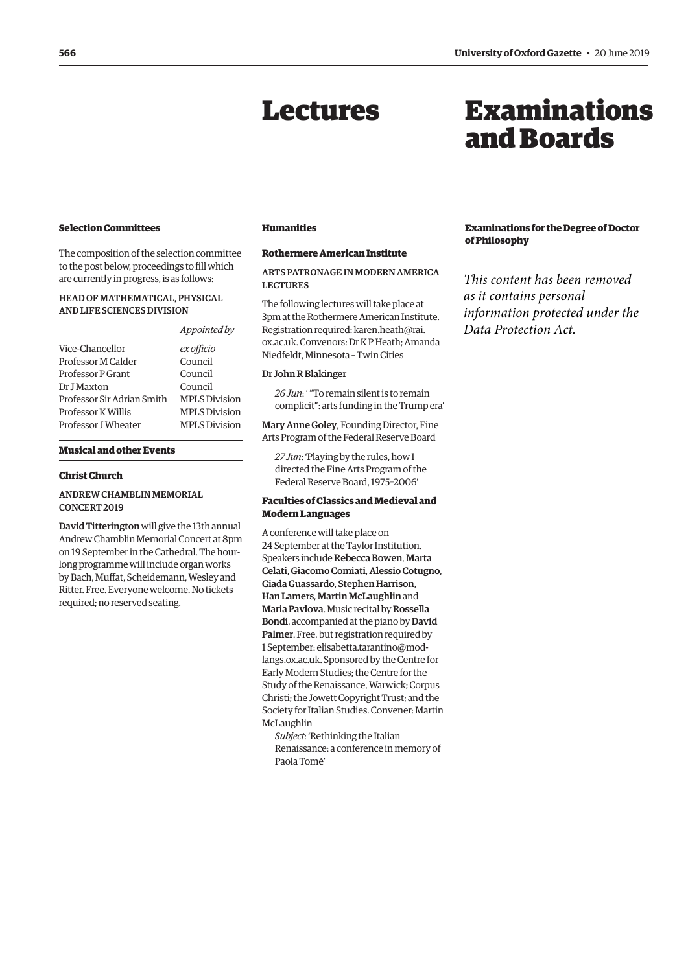## Lectures

## Examinations and Boards

#### <span id="page-3-0"></span>**Selection Committees**

The composition of the selection committee to the post below, proceedings to fll which are currently in progress, is as follows:

#### HEAD OF MATHEMATICAL, PHYSICAL AND LIFE SCIENCES DIVISION

#### *Appointed by*

| Vice-Chancellor            | ex officio           |
|----------------------------|----------------------|
| Professor M Calder         | Council              |
| Professor P Grant          | Council              |
| Dr J Maxton                | Council              |
| Professor Sir Adrian Smith | <b>MPLS Division</b> |
| Professor K Willis         | <b>MPLS Division</b> |
| Professor J Wheater        | <b>MPLS Division</b> |
|                            |                      |

#### **Musical and other Events**

#### **Christ Church**

#### ANDREW CHAMBLIN MEMORIAL CONCERT 2019

David Titterington will give the 13th annual Andrew Chamblin Memorial Concert at 8pm on 19 September in the Cathedral. The hourlong programme will include organ works by Bach, Muffat, Scheidemann, Wesley and Ritter. Free. Everyone welcome. No tickets required; no reserved seating.

#### **Humanities**

#### **Rothermere American Institute**

ARTS PATRONAGE IN MODERN AMERICA LECTURES

The following lectures will take place at 3pm at the Rothermere American Institute. Registration required: [karen.heath@rai.](mailto:karen.heath@rai.ox.ac.uk)  [ox.ac.uk.](mailto:karen.heath@rai.ox.ac.uk) Convenors: Dr K P Heath; Amanda Niedfeldt, Minnesota – Twin Cities

#### Dr John R Blakinger

*26 Jun*: ' "To remain silent is to remain complicit": arts funding in the Trump era'

Mary Anne Goley, Founding Director, Fine Arts Program of the Federal Reserve Board

*27 Jun*: 'Playing by the rules, how I directed the Fine Arts Program of the Federal Reserve Board, 1975–2006'

#### **Faculties of Classics and Medieval and Modern Languages**

A conference will take place on 24 September at the Taylor Institution. Speakers include Rebecca Bowen, Marta Celati, Giacomo Comiati, Alessio Cotugno, Giada Guassardo, Stephen Harrison, Han Lamers, Martin McLaughlin and Maria Pavlova. Music recital by Rossella Bondi, accompanied at the piano by David Palmer. Free, but registration required by 1 September: elisabetta.tarantino@modlangs.ox.ac.uk. Sponsored by the Centre for Early Modern Studies; the Centre for the Study of the Renaissance, Warwick; Corpus Christi; the Jowett Copyright Trust; and the Society for Italian Studies. Convener: Martin McLaughlin

*Subject*: 'Rethinking the Italian Renaissance: a conference in memory of Paola Tomè'

#### **Examinations for the Degree of Doctor of Philosophy**

*This content has been removed as it contains personal information protected under the Data Protection Act.*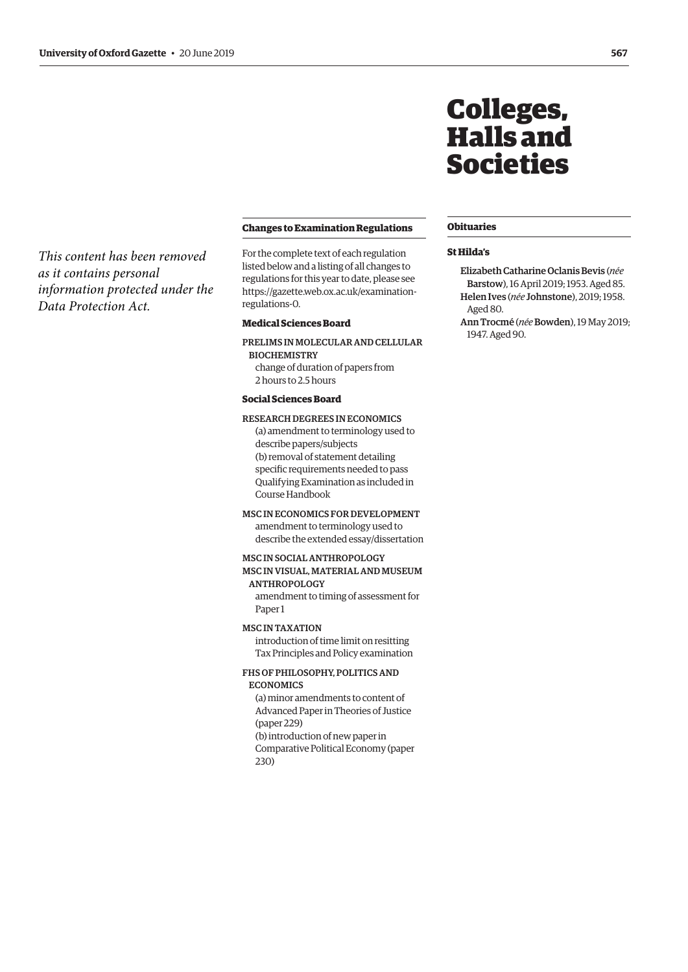<span id="page-4-0"></span>*This content has been removed as it contains personal information protected under the Data Protection Act.*

#### **Changes to Examination Regulations**

For the complete text of each regulation listed below and a listing of all changes to regulations for this year to date, please see https://gazette.web.ox.ac.uk/examinationregulations-0.

#### **Medical Sciences Board**

PRELIMS IN MOLECULAR AND CELLULAR BIOCHEMISTRY

change of duration of papers from 2 hours to 2.5 hours

#### **Social Sciences Board**

#### RESEARCH DEGREES IN ECONOMICS

(a) amendment to terminology used to describe papers/subjects (b) removal of statement detailing specific requirements needed to pass Qualifying Examination as included in Course Handbook

#### MSC IN ECONOMICS FOR DEVELOPMENT

amendment to terminology used to describe the extended essay/dissertation

#### MSC IN SOCIAL ANTHROPOLOGY

#### MSC IN VISUAL, MATERIAL AND MUSEUM ANTHROPOLOGY

amendment to timing of assessment for Paper 1

#### MSC IN TAXATION

introduction of time limit on resitting Tax Principles and Policy examination

#### FHS OF PHILOSOPHY, POLITICS AND ECONOMICS

(a) minor amendments to content of Advanced Paper in Theories of Justice (paper 229) (b) introduction of new paper in Comparative Political Economy (paper 230)

## Colleges, Halls and Societies

#### **Obituaries**

#### **St Hilda's**

Elizabeth Catharine Oclanis Bevis (*née*  Barstow), 16 April 2019; 1953. Aged 85. Helen Ives (*née* Johnstone), 2019; 1958. Aged 80.

Ann Trocmé (*née* Bowden), 19 May 2019; 1947. Aged 90.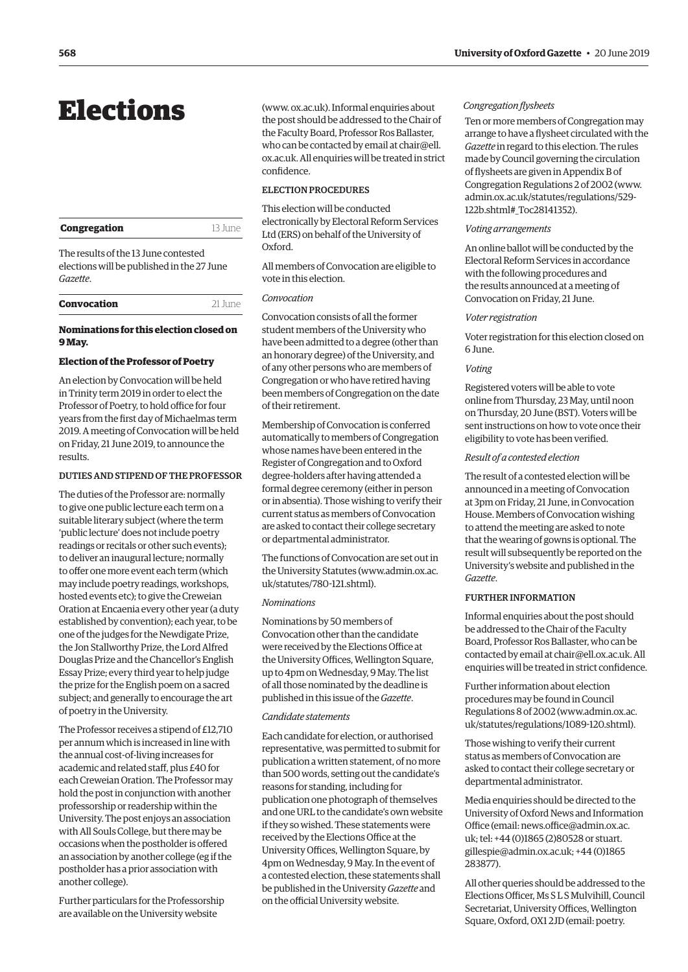## <span id="page-5-0"></span>**Elections**

| Congregation | 13 June |
|--------------|---------|
|              |         |

The results of the 13 June contested elections will be published in the 27 June *Gazette*.

| Convocation | $21$ Iune |
|-------------|-----------|
|-------------|-----------|

#### **Nominations for this election closed on 9 May.**

#### **Election of the Professor of Poetry**

An election by Convocation will be held in Trinity term 2019 in order to elect the Professor of Poetry, to hold office for four years from the frst day of Michaelmas term 2019. A meeting of Convocation will be held on Friday, 21 June 2019, to announce the results.

#### DUTIES AND STIPEND OF THE PROFESSOR

The duties of the Professor are: normally to give one public lecture each term on a suitable literary subject (where the term 'public lecture' does not include poetry readings or recitals or other such events); to deliver an inaugural lecture; normally to offer one more event each term (which may include poetry readings, workshops, hosted events etc); to give the Creweian Oration at Encaenia every other year (a duty established by convention); each year, to be one of the judges for the Newdigate Prize, the Jon Stallworthy Prize, the Lord Alfred Douglas Prize and the Chancellor's English Essay Prize; every third year to help judge the prize for the English poem on a sacred subject; and generally to encourage the art of poetry in the University.

The Professor receives a stipend of £12,710 per annum which is increased in line with the annual cost-of-living increases for academic and related staff, plus £40 for each Creweian Oration. The Professor may hold the post in conjunction with another professorship or readership within the University. The post enjoys an association with All Souls College, but there may be occasions when the postholder is ofered an association by another college (eg if the postholder has a prior association with another college).

Further particulars for the Professorship are available on the University website

t he post should be addressed to the Chair of t he Faculty Board, Professor Ros Ballaster, www. ox.ac.uk). Informal enquiries about who can be contacted by email at [chair@ell.](mailto:chair@ell.ox.ac.uk)  [ox.ac.uk.](mailto:chair@ell.ox.ac.uk) All enquiries will be treated in strict confidence.

#### ELECTION PROCEDURES

This election will be conducted electronically by Electoral Reform Services Ltd (ERS) on behalf of the University of Oxford.

All members of Convocation are eligible to vote in this election.

#### *Convocation*

Convocation consists of all the former student members of the University who have been admitted to a degree (other than an honorary degree) of the University, and of any other persons who are members of Congregation or who have retired having been members of Congregation on the date of their retirement.

Membership of Convocation is conferred automatically to members of Congregation whose names have been entered in the Register of Congregation and to Oxford degree-holders after having attended a formal degree ceremony (either in person or in absentia). Those wishing to verify their current status as members of Convocation are asked to contact their college secretary or departmental administrator.

The functions of Convocation are set out in the University Statutes (www.admin.ox.ac. uk/statutes/780-121.shtml).

#### *Nominations*

Nominations by 50 members of Convocation other than the candidate were received by the Elections Office at the University Offices, Wellington Square, up to 4pm on Wednesday, 9 May. The list of all those nominated by the deadline is published in this issue of the *Gazette*.

#### *Candidate statements*

Each candidate for election, or authorised representative, was permitted to submit for publication a written statement, of no more than 500 words, setting out the candidate's reasons for standing, including for publication one photograph of themselves and one URL to the candidate's own website if they so wished. These statements were received by the Elections Office at the University Offices, Wellington Square, by 4pm on Wednesday, 9 May. In the event of a contested election, these statements shall be published in the University *Gazette* and on the official University website.

#### *Congregation fysheets*

Ten or more members of Congregation may arrange to have a fysheet circulated with the *Gazette* in regard to this election. The rules made by Council governing the circulation of fysheets are given in Appendix B of Congregation Regulations 2 of 2002 (www. admin.ox.ac.uk/statutes/regulations/529- 122b.shtml#\_Toc28141352).

#### *Voting arrangements*

An online ballot will be conducted by the Electoral Reform Services in accordance with the following procedures and the results announced at a meeting of Convocation on Friday, 21 June.

#### *Voter registration*

Voter registration for this election closed on 6 June.

#### *Voting*

Registered voters will be able to vote online from Thursday, 23 May, until noon on Thursday, 20 June (BST). Voters will be sent instructions on how to vote once their eligibility to vote has been verifed.

#### *Result of a contested election*

The result of a contested election will be announced in a meeting of Convocation at 3pm on Friday, 21 June, in Convocation House. Members of Convocation wishing to attend the meeting are asked to note that the wearing of gowns is optional. The result will subsequently be reported on the University's website and published in the *Gazette*.

#### FURTHER INFORMATION

Informal enquiries about the post should be addressed to the Chair of the Faculty Board, Professor Ros Ballaster, who can be contacted by email at chair@ell.ox.ac.uk. All enquiries will be treated in strict confdence.

Further information about election procedures may be found in Council Regulations 8 of 2002 (www.admin.ox.ac. uk/statutes/regulations/1089-120.shtml).

Those wishing to verify their current status as members of Convocation are asked to contact their college secretary or departmental administrator.

Media enquiries should be directed to the University of Oxford News and Information Office (email: news.office@admin.ox.ac. [uk;](mailto:news.office@admin.ox.ac.uk) tel: +44 (0)1865 (2)80528 o[r stuart.](mailto:stuart.gillespie@admin.ox.ac.uk)  [gillespie@admin.ox.ac.uk](mailto:stuart.gillespie@admin.ox.ac.uk); +44 (0)1865 283877).

All other queries should be addressed to the Elections Officer, Ms SL S Mulvihill, Council Secretariat, University Offices, Wellington Square, Oxford, OX1 2JD (email[: poetry.](mailto:poetry.election@admin.ox.ac.uk)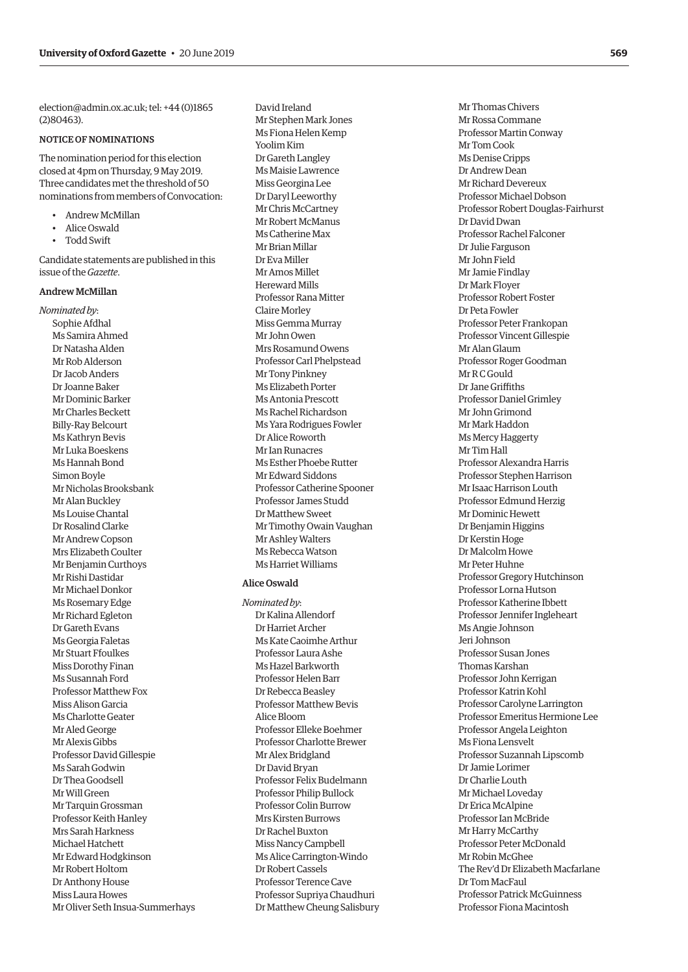[election@admin.ox.ac.uk;](mailto:poetry.election@admin.ox.ac.uk) tel: +44 (0)1865 (2)80463).

#### NOTICE OF NOMINATIONS

The nomination period for this election closed at 4pm on Thursday, 9 May 2019. Three candidates met the threshold of 50 nominations from members of Convocation:

- Andrew McMillan
- Alice Oswald
- Todd Swift

Candidate statements are published in this issue of the *Gazette*.

#### Andrew McMillan

*Nominated by*: Sophie Afdhal Ms Samira Ahmed Dr Natasha Alden Mr Rob Alderson Dr Jacob Anders Dr Joanne Baker Mr Dominic Barker Mr Charles Beckett Billy-Ray Belcourt Ms Kathryn Bevis Mr Luka Boeskens Ms Hannah Bond Simon Boyle Mr Nicholas Brooksbank Mr Alan Buckley Ms Louise Chantal Dr Rosalind Clarke Mr Andrew Copson Mrs Elizabeth Coulter Mr Benjamin Curthoys Mr Rishi Dastidar Mr Michael Donkor Ms Rosemary Edge Mr Richard Egleton Dr Gareth Evans Ms Georgia Faletas Mr Stuart Ffoulkes Miss Dorothy Finan Ms Susannah Ford Professor Matthew Fox Miss Alison Garcia Ms Charlotte Geater Mr Aled George Mr Alexis Gibbs Professor David Gillespie Ms Sarah Godwin Dr Thea Goodsell Mr Will Green Mr Tarquin Grossman Professor Keith Hanley Mrs Sarah Harkness Michael Hatchett Mr Edward Hodgkinson Mr Robert Holtom Dr Anthony House Miss Laura Howes Mr Oliver Seth Insua-Summerhays David Ireland Mr Stephen Mark Jones Ms Fiona Helen Kemp Yoolim Kim Dr Gareth Langley Ms Maisie Lawrence Miss Georgina Lee Dr Daryl Leeworthy Mr Chris McCartney Mr Robert McManus Ms Catherine Max Mr Brian Millar Dr Eva Miller Mr Amos Millet Hereward Mills Professor Rana Mitter Claire Morley Miss Gemma Murray Mr John Owen Mrs Rosamund Owens Professor Carl Phelpstead Mr Tony Pinkney Ms Elizabeth Porter Ms Antonia Prescott Ms Rachel Richardson Ms Yara Rodrigues Fowler Dr Alice Roworth Mr Ian Runacres Ms Esther Phoebe Rutter Mr Edward Siddons Professor Catherine Spooner Professor James Studd Dr Matthew Sweet Mr Timothy Owain Vaughan Mr Ashley Walters Ms Rebecca Watson Ms Harriet Williams

#### Alice Oswald

*Nominated by*: Dr Kalina Allendorf Dr Harriet Archer Ms Kate Caoimhe Arthur Professor Laura Ashe Ms Hazel Barkworth Professor Helen Barr Dr Rebecca Beasley Professor Matthew Bevis Alice Bloom Professor Elleke Boehmer Professor Charlotte Brewer Mr Alex Bridgland Dr David Bryan Professor Felix Budelmann Professor Philip Bullock Professor Colin Burrow Mrs Kirsten Burrows Dr Rachel Buxton Miss Nancy Campbell Ms Alice Carrington-Windo Dr Robert Cassels Professor Terence Cave Professor Supriya Chaudhuri Dr Matthew Cheung Salisbury

Mr Thomas Chivers Mr Rossa Commane Professor Martin Conway Mr Tom Cook Ms Denise Cripps Dr Andrew Dean Mr Richard Devereux Professor Michael Dobson Professor Robert Douglas-Fairhurst Dr David Dwan Professor Rachel Falconer Dr Julie Farguson Mr John Field Mr Jamie Findlay Dr Mark Floyer Professor Robert Foster Dr Peta Fowler Professor Peter Frankopan Professor Vincent Gillespie Mr Alan Glaum Professor Roger Goodman Mr R C Gould Dr Jane Griffiths Professor Daniel Grimley Mr John Grimond Mr Mark Haddon Ms Mercy Haggerty Mr Tim Hall Professor Alexandra Harris Professor Stephen Harrison Mr Isaac Harrison Louth Professor Edmund Herzig Mr Dominic Hewett Dr Benjamin Higgins Dr Kerstin Hoge Dr Malcolm Howe Mr Peter Huhne Professor Gregory Hutchinson Professor Lorna Hutson Professor Katherine Ibbett Professor Jennifer Ingleheart Ms Angie Johnson Jeri Johnson Professor Susan Jones Thomas Karshan Professor John Kerrigan Professor Katrin Kohl Professor Carolyne Larrington Professor Emeritus Hermione Lee Professor Angela Leighton Ms Fiona Lensvelt Professor Suzannah Lipscomb Dr Jamie Lorimer Dr Charlie Louth Mr Michael Loveday Dr Erica McAlpine Professor Ian McBride Mr Harry McCarthy Professor Peter McDonald Mr Robin McGhee The Rev'd Dr Elizabeth Macfarlane Dr Tom MacFaul Professor Patrick McGuinness Professor Fiona Macintosh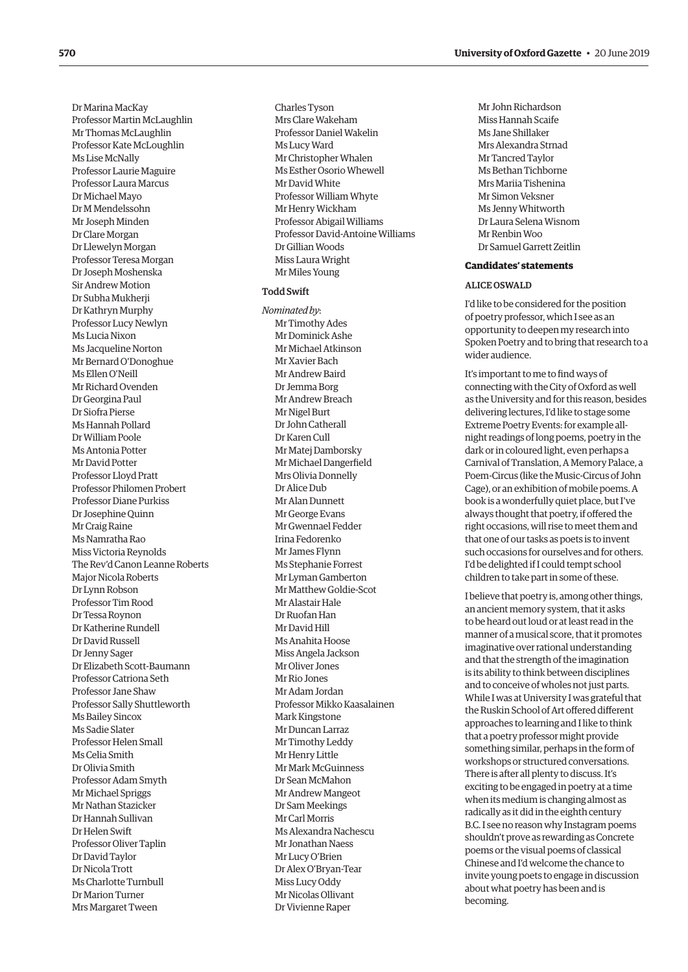Dr Marina MacKay Professor Martin McLaughlin Mr Thomas McLaughlin Professor Kate McLoughlin Ms Lise McNally Professor Laurie Maguire Professor Laura Marcus Dr Michael Mayo Dr M Mendelssohn Mr Joseph Minden Dr Clare Morgan Dr Llewelyn Morgan Professor Teresa Morgan Dr Joseph Moshenska Sir Andrew Motion Dr Subha Mukherji Dr Kathryn Murphy Professor Lucy Newlyn Ms Lucia Nixon Ms Jacqueline Norton Mr Bernard O'Donoghue Ms Ellen O'Neill Mr Richard Ovenden Dr Georgina Paul Dr Siofra Pierse Ms Hannah Pollard Dr William Poole Ms Antonia Potter Mr David Potter Professor Lloyd Pratt Professor Philomen Probert Professor Diane Purkiss Dr Josephine Quinn Mr Craig Raine Ms Namratha Rao Miss Victoria Reynolds The Rev'd Canon Leanne Roberts Major Nicola Roberts Dr Lynn Robson Professor Tim Rood Dr Tessa Roynon Dr Katherine Rundell Dr David Russell Dr Jenny Sager Dr Elizabeth Scott-Baumann Professor Catriona Seth Professor Jane Shaw Professor Sally Shuttleworth Ms Bailey Sincox Ms Sadie Slater Professor Helen Small Ms Celia Smith Dr Olivia Smith Professor Adam Smyth Mr Michael Spriggs Mr Nathan Stazicker Dr Hannah Sullivan Dr Helen Swift Professor Oliver Taplin Dr David Taylor Dr Nicola Trott Ms Charlotte Turnbull Dr Marion Turner Mrs Margaret Tween

Charles Tyson Mrs Clare Wakeham Professor Daniel Wakelin Ms Lucy Ward Mr Christopher Whalen Ms Esther Osorio Whewell Mr David White Professor William Whyte Mr Henry Wickham Professor Abigail Williams Professor David-Antoine Williams Dr Gillian Woods Miss Laura Wright Mr Miles Young

#### Todd Swift

*Nominated by*: Mr Timothy Ades Mr Dominick Ashe Mr Michael Atkinson Mr Xavier Bach Mr Andrew Baird Dr Jemma Borg Mr Andrew Breach Mr Nigel Burt Dr John Catherall Dr Karen Cull Mr Matej Damborsky Mr Michael Dangerfield Mrs Olivia Donnelly Dr Alice Dub Mr Alan Dunnett Mr George Evans Mr Gwennael Fedder Irina Fedorenko Mr James Flynn Ms Stephanie Forrest Mr Lyman Gamberton Mr Matthew Goldie-Scot Mr Alastair Hale Dr Ruofan Han Mr David Hill Ms Anahita Hoose Miss Angela Jackson Mr Oliver Jones Mr Rio Jones Mr Adam Jordan Professor Mikko Kaasalainen Mark Kingstone Mr Duncan Larraz Mr Timothy Leddy Mr Henry Little Mr Mark McGuinness Dr Sean McMahon Mr Andrew Mangeot Dr Sam Meekings Mr Carl Morris Ms Alexandra Nachescu Mr Jonathan Naess Mr Lucy O'Brien Dr Alex O'Bryan-Tear Miss Lucy Oddy Mr Nicolas Ollivant Dr Vivienne Raper

Mr John Richardson Miss Hannah Scaife Ms Jane Shillaker Mrs Alexandra Strnad Mr Tancred Taylor Ms Bethan Tichborne Mrs Mariia Tishenina Mr Simon Veksner Ms Jenny Whitworth Dr Laura Selena Wisnom Mr Renbin Woo Dr Samuel Garrett Zeitlin

#### **Candidates' statements**

#### ALICE OSWALD

I'd like to be considered for the position of poetry professor, which I see as an opportunity to deepen my research into Spoken Poetry and to bring that research to a wider audience.

It's important to me to fnd ways of connecting with the City of Oxford as well as the University and for this reason, besides delivering lectures, I'd like to stage some Extreme Poetry Events: for example allnight readings of long poems, poetry in the dark or in coloured light, even perhaps a Carnival of Translation, A Memory Palace, a Poem-Circus (like the Music-Circus of John Cage), or an exhibition of mobile poems. A book is a wonderfully quiet place, but I've always thought that poetry, if ofered the right occasions, will rise to meet them and that one of our tasks as poets is to invent such occasions for ourselves and for others. I'd be delighted if I could tempt school children to take part in some of these.

I believe that poetry is, among other things, an ancient memory system, that it asks to be heard out loud or at least read in the manner of a musical score, that it promotes imaginative over rational understanding and that the strength of the imagination is its ability to think between disciplines and to conceive of wholes not just parts. While I was at University I was grateful that the Ruskin School of Art ofered diferent approaches to learning and I like to think that a poetry professor might provide something similar, perhaps in the form of workshops or structured conversations. There is after all plenty to discuss. It's exciting to be engaged in poetry at a time when its medium is changing almost as radically as it did in the eighth century B.C. I see no reason why Instagram poems shouldn't prove as rewarding as Concrete poems or the visual poems of classical Chinese and I'd welcome the chance to invite young poets to engage in discussion about what poetry has been and is becoming.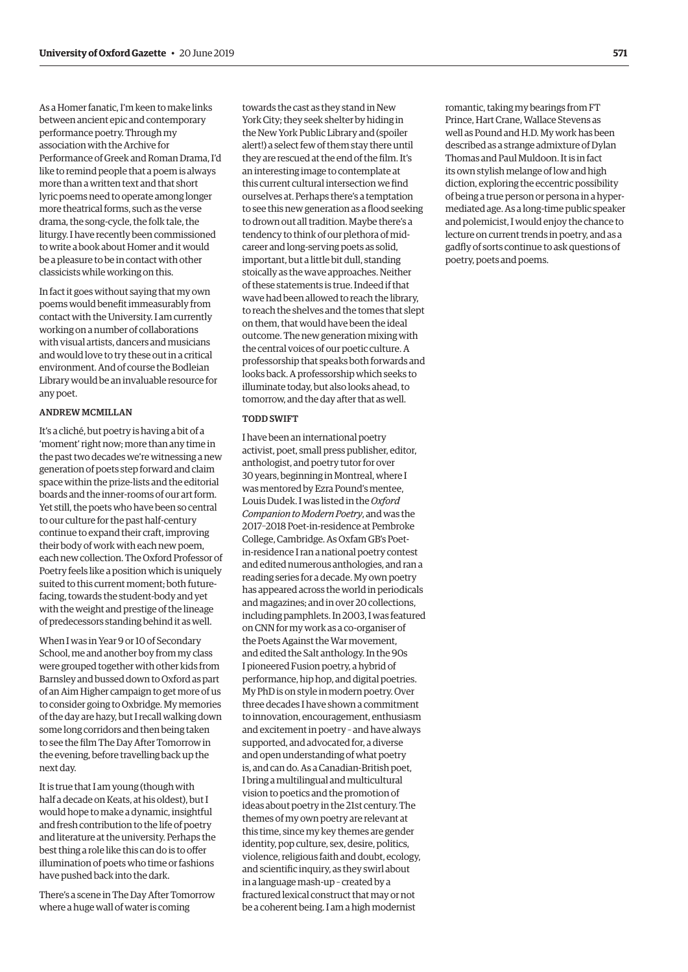As a Homer fanatic, I'm keen to make links between ancient epic and contemporary performance poetry. Through my association with the Archive for Performance of Greek and Roman Drama, I'd like to remind people that a poem is always more than a written text and that short lyric poems need to operate among longer more theatrical forms, such as the verse drama, the song-cycle, the folk tale, the liturgy. I have recently been commissioned to write a book about Homer and it would be a pleasure to be in contact with other classicists while working on this.

In fact it goes without saying that my own poems would benefit immeasurably from contact with the University. I am currently working on a number of collaborations with visual artists, dancers and musicians and would love to try these out in a critical environment. And of course the Bodleian Library would be an invaluable resource for any poet.

#### ANDREW MCMILLAN

It's a cliché, but poetry is having a bit of a 'moment' right now; more than any time in the past two decades we're witnessing a new generation of poets step forward and claim space within the prize-lists and the editorial boards and the inner-rooms of our art form. Yet still, the poets who have been so central to our culture for the past half-century continue to expand their craft, improving their body of work with each new poem, each new collection. The Oxford Professor of Poetry feels like a position which is uniquely suited to this current moment; both futurefacing, towards the student-body and yet with the weight and prestige of the lineage of predecessors standing behind it as well.

When I was in Year 9 or 10 of Secondary School, me and another boy from my class were grouped together with other kids from Barnsley and bussed down to Oxford as part of an Aim Higher campaign to get more of us to consider going to Oxbridge. My memories of the day are hazy, but I recall walking down some long corridors and then being taken to see the flm The Day After Tomorrow in the evening, before travelling back up the next day.

It is true that I am young (though with half a decade on Keats, at his oldest), but I would hope to make a dynamic, insightful and fresh contribution to the life of poetry and literature at the university. Perhaps the best thing a role like this can do is to offer illumination of poets who time or fashions have pushed back into the dark.

There's a scene in The Day After Tomorrow where a huge wall of water is coming

towards the cast as they stand in New York City; they seek shelter by hiding in the New York Public Library and (spoiler alert!) a select few of them stay there until they are rescued at the end of the flm. It's an interesting image to contemplate at this current cultural intersection we fnd ourselves at. Perhaps there's a temptation to see this new generation as a flood seeking to drown out all tradition. Maybe there's a tendency to think of our plethora of midcareer and long-serving poets as solid, important, but a little bit dull, standing stoically as the wave approaches. Neither of these statements is true. Indeed if that wave had been allowed to reach the library, to reach the shelves and the tomes that slept on them, that would have been the ideal outcome. The new generation mixing with the central voices of our poetic culture. A professorship that speaks both forwards and looks back. A professorship which seeks to illuminate today, but also looks ahead, to tomorrow, and the day after that as well.

#### TODD SWIFT

I have been an international poetry activist, poet, small press publisher, editor, anthologist, and poetry tutor for over 30 years, beginning in Montreal, where I was mentored by Ezra Pound's mentee, Louis Dudek. I was listed in the *Oxford Companion to Modern Poetry*, and was the 2017–2018 Poet-in-residence at Pembroke College, Cambridge. As Oxfam GB's Poetin-residence I ran a national poetry contest and edited numerous anthologies, and ran a reading series for a decade. My own poetry has appeared across the world in periodicals and magazines; and in over 20 collections, including pamphlets. In 2003, I was featured on CNN for my work as a co-organiser of the Poets Against the War movement, and edited the Salt anthology. In the 90s I pioneered Fusion poetry, a hybrid of performance, hip hop, and digital poetries. My PhD is on style in modern poetry. Over three decades I have shown a commitment to innovation, encouragement, enthusiasm and excitement in poetry – and have always supported, and advocated for, a diverse and open understanding of what poetry is, and can do. As a Canadian-British poet, I bring a multilingual and multicultural vision to poetics and the promotion of ideas about poetry in the 21st century. The themes of my own poetry are relevant at this time, since my key themes are gender identity, pop culture, sex, desire, politics, violence, religious faith and doubt, ecology, and scientifc inquiry, as they swirl about in a language mash-up – created by a fractured lexical construct that may or not be a coherent being. I am a high modernist

romantic, taking my bearings from FT Prince, Hart Crane, Wallace Stevens as well as Pound and H.D. My work has been described as a strange admixture of Dylan Thomas and Paul Muldoon. It is in fact its own stylish melange of low and high diction, exploring the eccentric possibility of being a true person or persona in a hypermediated age. As a long-time public speaker and polemicist, I would enjoy the chance to lecture on current trends in poetry, and as a gadfy of sorts continue to ask questions of poetry, poets and poems.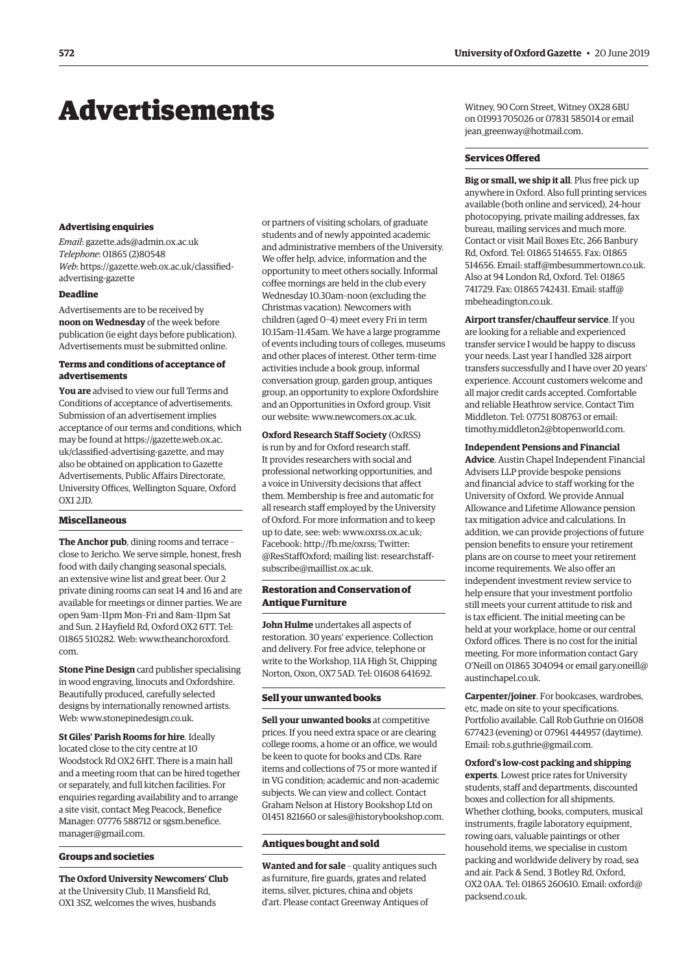## <span id="page-9-0"></span>Advertisements

#### **Advertising enquiries**

*Email*: gazette.ads@admin.ox.ac.uk *Telephone*: 01865 (2)80548 *Web*: https://gazette.web.ox.ac.uk/classifedadvertising-gazette

#### **Deadline**

Advertisements are to be received by **noon on Wednesday** of the week before publication (ie eight days before publication). Advertisements must be submitted online.

#### **Terms and conditions of acceptance of advertisements**

**You are** advised to view our full Terms and Conditions of acceptance of advertisements. Submission of an advertisement implies acceptance of our terms and conditions, which may be found at https://gazette.web.ox.ac. uk/classified-advertising-gazette, and may also be obtained on application to Gazette Advertisements, Public Affairs Directorate, University Offices, Wellington Square, Oxford OX1 2JD.

#### **Miscellaneous**

**The Anchor pub**, dining rooms and terrace – close to Jericho. We serve simple, honest, fresh food with daily changing seasonal specials, an extensive wine list and great beer. Our 2 private dining rooms can seat 14 and 16 and are available for meetings or dinner parties. We are open 9am–11pm Mon–Fri and 8am–11pm Sat and Sun. 2 Hayfield Rd, Oxford OX2 6TT. Tel: 01865 510282. Web: [www.theanchoroxford.](http://www.theanchoroxford.com)  [com](http://www.theanchoroxford.com).

**Stone Pine Design** card publisher specialising in wood engraving, linocuts and Oxfordshire. Beautifully produced, carefully selected designs by internationally renowned artists. Web: www.stonepinedesign.co.uk.

**St Giles' Parish Rooms for hire**. Ideally located close to the city centre at 10 Woodstock Rd OX2 6HT. There is a main hall and a meeting room that can be hired together or separately, and full kitchen facilities. For enquiries regarding availability and to arrange a site visit, contact Meg Peacock, Benefice Manager: 07776 588712 o[r sgsm.benefice.](mailto:sgsm.benefice.manager@gmail.com) [manager@gmail.com.](mailto:sgsm.benefice.manager@gmail.com) 

#### **Groups and societies**

**The Oxford University Newcomers' Club**  at the University Club, 11 Mansfield Rd, OX1 3SZ, welcomes the wives, husbands

or partners of visiting scholars, of graduate students and of newly appointed academic and administrative members of the University. We offer help, advice, information and the opportunity to meet others socially. Informal coffee mornings are held in the club every Wednesday 10.30am–noon (excluding the Christmas vacation). Newcomers with children (aged 0–4) meet every Fri in term 10.15am–11.45am. We have a large programme of events including tours of colleges, museums and other places of interest. Other term-time activities include a book group, informal conversation group, garden group, antiques group, an opportunity to explore Oxfordshire and an Opportunities in Oxford group. Visit our website: www.newcomers.ox.ac.uk.

**Oxford Research Staff Society** (OxRSS) is run by and for Oxford research staff. It provides researchers with social and professional networking opportunities, and a voice in University decisions that affect them. Membership is free and automatic for all research staff employed by the University of Oxford. For more information and to keep up to date, see: web: www.oxrss.ox.ac.uk; Facebook: http://fb.me/oxrss; Twitter: [@ResStaffOxford](https://twitter.com/resstaffoxford); mailing list: researchstaffsubscribe@maillist.ox.ac.uk.

#### **Restoration and Conservation of Antique Furniture**

**John Hulme** undertakes all aspects of restoration. 30 years' experience. Collection and delivery. For free advice, telephone or write to the Workshop, 11A High St, Chipping Norton, Oxon, OX7 5AD. Tel: 01608 641692.

#### **Sell your unwanted books**

**Sell your unwanted books** at competitive prices. If you need extra space or are clearing college rooms, a home or an office, we would be keen to quote for books and CDs. Rare items and collections of 75 or more wanted if in VG condition; academic and non-academic subjects. We can view and collect. Contact Graham Nelson at History Bookshop Ltd on 01451 821660 or sales@historybookshop.com.

#### **Antiques bought and sold**

**Wanted and for sale** – quality antiques such as furniture, fire guards, grates and related items, silver, pictures, china and objets d'art. Please contact Greenway Antiques of

Witney, 90 Corn Street, Witney OX28 6BU on 01993 705026 or 07831 585014 or email jean\_greenway@hotmail.com.

#### **Services Ofered**

**Big or small, we ship it all**. Plus free pick up anywhere in Oxford. Also full printing services available (both online and serviced), 24-hour photocopying, private mailing addresses, fax bureau, mailing services and much more. Contact or visit Mail Boxes Etc, 266 Banbury Rd, Oxford. Tel: 01865 514655. Fax: 01865 514656. Email: staff@mbesummertown.co.uk. Also at 94 London Rd, Oxford. Tel: 01865 741729. Fax: 01865 742431. Email[: staff@](mailto:staff@mbeheadington.co.uk)  [mbeheadington.co.uk](mailto:staff@mbeheadington.co.uk).

**Airport transfer/chaufeur service**. If you are looking for a reliable and experienced transfer service I would be happy to discuss your needs. Last year I handled 328 airport transfers successfully and I have over 20 years' experience. Account customers welcome and all major credit cards accepted. Comfortable and reliable Heathrow service. Contact Tim Middleton. Tel: 07751 808763 or email: timothy.middleton2@btopenworld.com.

#### **Independent Pensions and Financial**

**Advice**. Austin Chapel Independent Financial Advisers LLP provide bespoke pensions and financial advice to staff working for the University of Oxford. We provide Annual Allowance and Lifetime Allowance pension tax mitigation advice and calculations. In addition, we can provide projections of future pension benefits to ensure your retirement plans are on course to meet your retirement income requirements. We also offer an independent investment review service to help ensure that your investment portfolio still meets your current attitude to risk and is tax efficient. The initial meeting can be held at your workplace, home or our central Oxford offices. There is no cost for the initial meeting. For more information contact Gary O'Neill on 01865 304094 or email [gary.oneill@](mailto:gary.oneill@austinchapel.co.uk)  [austinchapel.co.uk.](mailto:gary.oneill@austinchapel.co.uk)

**Carpenter/joiner**. For bookcases, wardrobes, etc, made on site to your specifications. Portfolio available. Call Rob Guthrie on 01608 677423 (evening) or 07961 444957 (daytime). Email: rob.s.guthrie@gmail.com.

#### **Oxford's low-cost packing and shipping**

**experts**. Lowest price rates for University students, staff and departments, discounted boxes and collection for all shipments. Whether clothing, books, computers, musical instruments, fragile laboratory equipment, rowing oars, valuable paintings or other household items, we specialise in custom packing and worldwide delivery by road, sea and air. Pack & Send, 3 Botley Rd, Oxford, OX2 0AA. Tel: 01865 260610. Email: [oxford@](mailto:oxford@packsend.co.uk) [packsend.co.uk.](mailto:oxford@packsend.co.uk)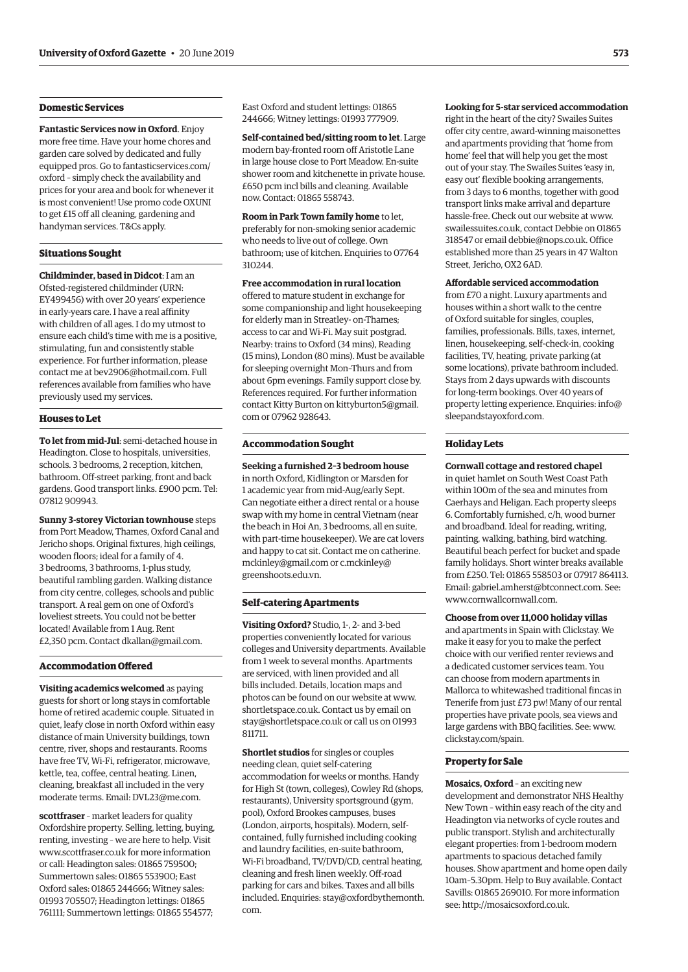#### **Domestic Services**

**Fantastic Services now in Oxford**. Enjoy more free time. Have your home chores and garden care solved by dedicated and fully equipped pros. Go to [fantasticservices.com/](http://fantasticservices.com/oxford)  [oxford](http://fantasticservices.com/oxford) – simply check the availability and prices for your area and book for whenever it is most convenient! Use promo code OXUNI to get £15 off all cleaning, gardening and handyman services. T&Cs apply.

#### **Situations Sought**

**Childminder, based in Didcot**: I am an Ofsted-registered childminder (URN: EY499456) with over 20 years' experience in early-years care. I have a real affinity with children of all ages. I do my utmost to ensure each child's time with me is a positive, stimulating, fun and consistently stable experience. For further information, please contact me at bev2906@hotmail.com. Full references available from families who have previously used my services.

#### **Houses to Let**

**To let from mid-Jul**: semi-detached house in Headington. Close to hospitals, universities, schools. 3 bedrooms, 2 reception, kitchen, bathroom. Off-street parking, front and back gardens. Good transport links. £900 pcm. Tel: 07812 909943.

**Sunny 3-storey Victorian townhouse** steps from Port Meadow, Thames, Oxford Canal and Jericho shops. Original fixtures, high ceilings, wooden floors; ideal for a family of 4. 3 bedrooms, 3 bathrooms, 1-plus study, beautiful rambling garden. Walking distance from city centre, colleges, schools and public transport. A real gem on one of Oxford's loveliest streets. You could not be better located! Available from 1 Aug. Rent £2,350 pcm. Contact dkallan@gmail.com.

#### **Accommodation Ofered**

**Visiting academics welcomed** as paying guests for short or long stays in comfortable home of retired academic couple. Situated in quiet, leafy close in north Oxford within easy distance of main University buildings, town centre, river, shops and restaurants. Rooms have free TV, Wi-Fi, refrigerator, microwave, kettle, tea, coffee, central heating. Linen, cleaning, breakfast all included in the very moderate terms. Email: DVL23@me.com.

**scottfraser** – market leaders for quality Oxfordshire property. Selling, letting, buying, renting, investing – we are here to help. Visit www.scottfraser.co.uk for more information or call: Headington sales: 01865 759500; Summertown sales: 01865 553900; East Oxford sales: 01865 244666; Witney sales: 01993 705507; Headington lettings: 01865 761111; Summertown lettings: 01865 554577;

East Oxford and student lettings: 01865 244666; Witney lettings: 01993 777909.

**Self-contained bed/sitting room to let**. Large modern bay-fronted room off Aristotle Lane in large house close to Port Meadow. En-suite shower room and kitchenette in private house. £650 pcm incl bills and cleaning. Available now. Contact: 01865 558743.

**Room in Park Town family home** to let, preferably for non-smoking senior academic who needs to live out of college. Own bathroom; use of kitchen. Enquiries to 07764 310244.

**Free accommodation in rural location**  offered to mature student in exchange for some companionship and light housekeeping for elderly man in Streatley- on-Thames; access to car and Wi-Fi. May suit postgrad. Nearby: trains to Oxford (34 mins), Reading (15 mins), London (80 mins). Must be available for sleeping overnight Mon–Thurs and from about 6pm evenings. Family support close by. References required. For further information contact Kitty Burton on [kittyburton5@gmail.](mailto:kittyburton5@gmail.com)  [com](mailto:kittyburton5@gmail.com) or 07962 928643.

#### **Accommodation Sought**

**Seeking a furnished 2–3 bedroom house**  in north Oxford, Kidlington or Marsden for 1 academic year from mid-Aug/early Sept. Can negotiate either a direct rental or a house swap with my home in central Vietnam (near the beach in Hoi An, 3 bedrooms, all en suite, with part-time housekeeper). We are cat lovers and happy to cat sit. Contact me on [catherine.](mailto:catherine.mckinley@gmail.com)  [mckinley@gmail.com](mailto:catherine.mckinley@gmail.com) or [c.mckinley@](mailto:c.mckinley@greenshoots.edu.vn)  [greenshoots.edu.vn.](mailto:c.mckinley@greenshoots.edu.vn)

#### **Self-catering Apartments**

**Visiting Oxford?** Studio, 1-, 2- and 3-bed properties conveniently located for various colleges and University departments. Available from 1 week to several months. Apartments are serviced, with linen provided and all bills included. Details, location maps and photos can be found on our website at www. shortletspace.co.uk. Contact us by email on stay@shortletspace.co.uk or call us on 01993 811711.

**Shortlet studios** for singles or couples needing clean, quiet self-catering accommodation for weeks or months. Handy for High St (town, colleges), Cowley Rd (shops, restaurants), University sportsground (gym, pool), Oxford Brookes campuses, buses (London, airports, hospitals). Modern, selfcontained, fully furnished including cooking and laundry facilities, en-suite bathroom, Wi-Fi broadband, TV/DVD/CD, central heating, cleaning and fresh linen weekly. Off-road parking for cars and bikes. Taxes and all bills included. Enquiries: [stay@oxfordbythemonth.](mailto:stay@oxfordbythemonth.com) [com.](mailto:stay@oxfordbythemonth.com) 

#### **Looking for 5-star serviced accommodation**

right in the heart of the city? Swailes Suites offer city centre, award-winning maisonettes and apartments providing that 'home from home' feel that will help you get the most out of your stay. The Swailes Suites 'easy in, easy out' flexible booking arrangements, from 3 days to 6 months, together with good transport links make arrival and departure hassle-free. Check out our website at www. swailessuites.co.uk, contact Debbie on 01865 318547 or email debbie@nops.co.uk. Office established more than 25 years in 47 Walton Street, Jericho, OX2 6AD.

#### **Afordable serviced accommodation**

from £70 a night. Luxury apartments and houses within a short walk to the centre of Oxford suitable for singles, couples, families, professionals. Bills, taxes, internet, linen, housekeeping, self-check-in, cooking facilities, TV, heating, private parking (at some locations), private bathroom included. Stays from 2 days upwards with discounts for long-term bookings. Over 40 years of property letting experience. Enquiries[: info@](mailto:info@sleepandstayoxford.com)  [sleepandstayoxford.com](mailto:info@sleepandstayoxford.com).

#### **Holiday Lets**

#### **Cornwall cottage and restored chapel**

in quiet hamlet on South West Coast Path within 100m of the sea and minutes from Caerhays and Heligan. Each property sleeps 6. Comfortably furnished, c/h, wood burner and broadband. Ideal for reading, writing, painting, walking, bathing, bird watching. Beautiful beach perfect for bucket and spade family holidays. Short winter breaks available from £250. Tel: 01865 558503 or 07917 864113. Email: gabriel.amherst@btconnect.com. See: www.cornwallcornwall.com.

#### **Choose from over 11,000 holiday villas**

and apartments in Spain with Clickstay. We make it easy for you to make the perfect choice with our verified renter reviews and a dedicated customer services team. You can choose from modern apartments in Mallorca to whitewashed traditional fincas in Tenerife from just £73 pw! Many of our rental properties have private pools, sea views and large gardens with BBQ facilities. See: www. clickstay.com/spain.

#### **Property for Sale**

**Mosaics, Oxford** – an exciting new development and demonstrator NHS Healthy New Town – within easy reach of the city and Headington via networks of cycle routes and public transport. Stylish and architecturally elegant properties: from 1-bedroom modern apartments to spacious detached family houses. Show apartment and home open daily 10am–5.30pm. Help to Buy available. Contact Savills: 01865 269010. For more information see: http://mosaicsoxford.co.uk.